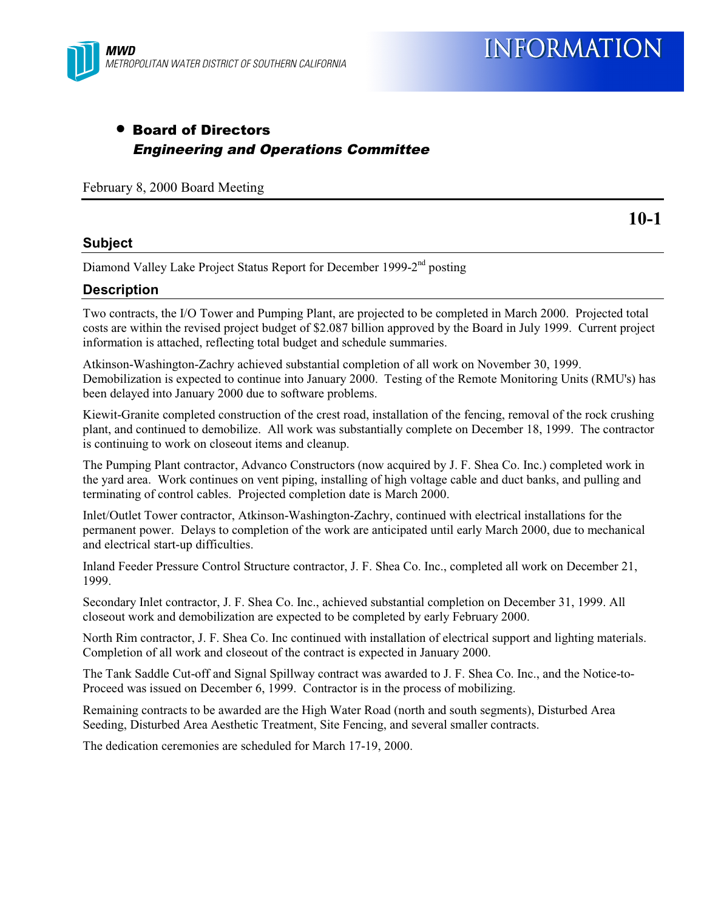

**10-1**

## • Board of Directors Engineering and Operations Committee

February 8, 2000 Board Meeting

#### **Subject**

Diamond Valley Lake Project Status Report for December 1999-2<sup>nd</sup> posting

#### **Description**

Two contracts, the I/O Tower and Pumping Plant, are projected to be completed in March 2000. Projected total costs are within the revised project budget of \$2.087 billion approved by the Board in July 1999. Current project information is attached, reflecting total budget and schedule summaries.

Atkinson-Washington-Zachry achieved substantial completion of all work on November 30, 1999. Demobilization is expected to continue into January 2000. Testing of the Remote Monitoring Units (RMU's) has been delayed into January 2000 due to software problems.

Kiewit-Granite completed construction of the crest road, installation of the fencing, removal of the rock crushing plant, and continued to demobilize. All work was substantially complete on December 18, 1999. The contractor is continuing to work on closeout items and cleanup.

The Pumping Plant contractor, Advanco Constructors (now acquired by J. F. Shea Co. Inc.) completed work in the yard area. Work continues on vent piping, installing of high voltage cable and duct banks, and pulling and terminating of control cables. Projected completion date is March 2000.

Inlet/Outlet Tower contractor, Atkinson-Washington-Zachry, continued with electrical installations for the permanent power. Delays to completion of the work are anticipated until early March 2000, due to mechanical and electrical start-up difficulties.

Inland Feeder Pressure Control Structure contractor, J. F. Shea Co. Inc., completed all work on December 21, 1999.

Secondary Inlet contractor, J. F. Shea Co. Inc., achieved substantial completion on December 31, 1999. All closeout work and demobilization are expected to be completed by early February 2000.

North Rim contractor, J. F. Shea Co. Inc continued with installation of electrical support and lighting materials. Completion of all work and closeout of the contract is expected in January 2000.

The Tank Saddle Cut-off and Signal Spillway contract was awarded to J. F. Shea Co. Inc., and the Notice-to-Proceed was issued on December 6, 1999. Contractor is in the process of mobilizing.

Remaining contracts to be awarded are the High Water Road (north and south segments), Disturbed Area Seeding, Disturbed Area Aesthetic Treatment, Site Fencing, and several smaller contracts.

The dedication ceremonies are scheduled for March 17-19, 2000.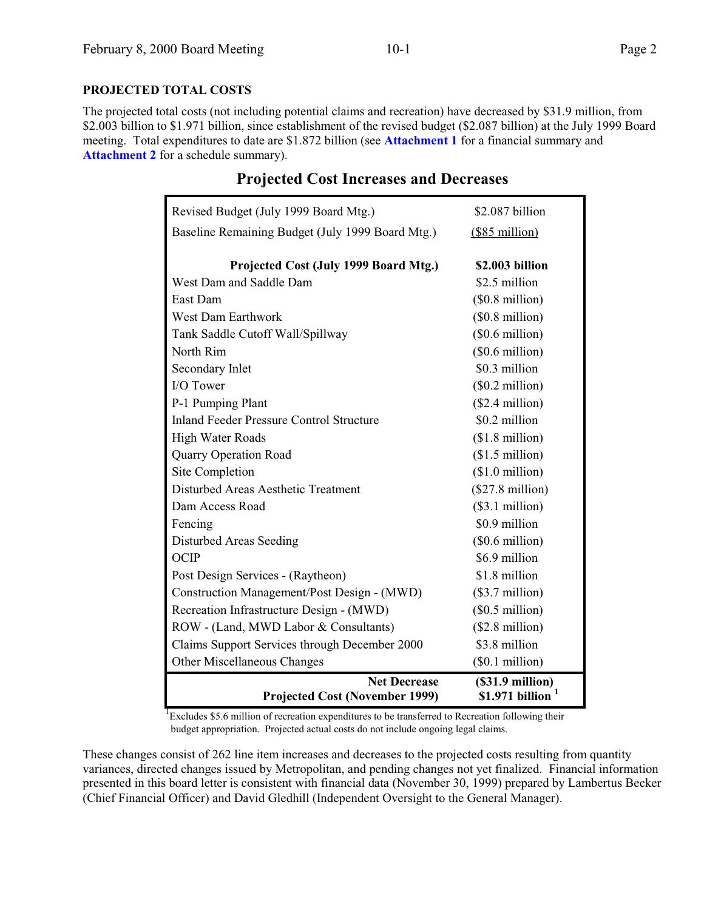#### **PROJECTED TOTAL COSTS**

The projected total costs (not including potential claims and recreation) have decreased by \$31.9 million, from \$2.003 billion to \$1.971 billion, since establishment of the revised budget (\$2.087 billion) at the July 1999 Board meeting. Total expenditures to date are \$1.872 billion (see **Attachment 1** for a financial summary and **Attachment 2** for a schedule summary).

| Revised Budget (July 1999 Board Mtg.)                        | \$2.087 billion                             |
|--------------------------------------------------------------|---------------------------------------------|
| Baseline Remaining Budget (July 1999 Board Mtg.)             | $($85$ million)                             |
|                                                              |                                             |
| Projected Cost (July 1999 Board Mtg.)                        | \$2.003 billion                             |
| West Dam and Saddle Dam                                      | \$2.5 million                               |
| East Dam                                                     | $($0.8 \text{ million})$                    |
| <b>West Dam Earthwork</b>                                    | $($0.8 \text{ million})$                    |
| Tank Saddle Cutoff Wall/Spillway                             | $($0.6 \text{ million})$                    |
| North Rim                                                    | $($0.6 \text{ million})$                    |
| Secondary Inlet                                              | \$0.3 million                               |
| I/O Tower                                                    | $($0.2 \text{ million})$                    |
| P-1 Pumping Plant                                            | $($2.4$ million)                            |
| <b>Inland Feeder Pressure Control Structure</b>              | \$0.2 million                               |
| <b>High Water Roads</b>                                      | $($1.8 \text{ million})$                    |
| <b>Quarry Operation Road</b>                                 | $($1.5 \text{ million})$                    |
| Site Completion                                              | $($1.0 \text{ million})$                    |
| Disturbed Areas Aesthetic Treatment                          | (\$27.8 million)                            |
| Dam Access Road                                              | (\$3.1 million)                             |
| Fencing                                                      | \$0.9 million                               |
| Disturbed Areas Seeding                                      | $($0.6 \text{ million})$                    |
| <b>OCIP</b>                                                  | \$6.9 million                               |
| Post Design Services - (Raytheon)                            | \$1.8 million                               |
| Construction Management/Post Design - (MWD)                  | $($3.7\text{ million})$                     |
| Recreation Infrastructure Design - (MWD)                     | $($0.5 \text{ million})$                    |
| ROW - (Land, MWD Labor & Consultants)                        | $($2.8 \text{ million})$                    |
| Claims Support Services through December 2000                | \$3.8 million                               |
| Other Miscellaneous Changes                                  | (\$0.1 million)                             |
| <b>Net Decrease</b><br><b>Projected Cost (November 1999)</b> | $($31.9\text{ million})$<br>\$1.971 billion |

### **Projected Cost Increases and Decreases**

<sup>1</sup>Excludes \$5.6 million of recreation expenditures to be transferred to Recreation following their budget appropriation. Projected actual costs do not include ongoing legal claims.

These changes consist of 262 line item increases and decreases to the projected costs resulting from quantity variances, directed changes issued by Metropolitan, and pending changes not yet finalized. Financial information presented in this board letter is consistent with financial data (November 30, 1999) prepared by Lambertus Becker (Chief Financial Officer) and David Gledhill (Independent Oversight to the General Manager).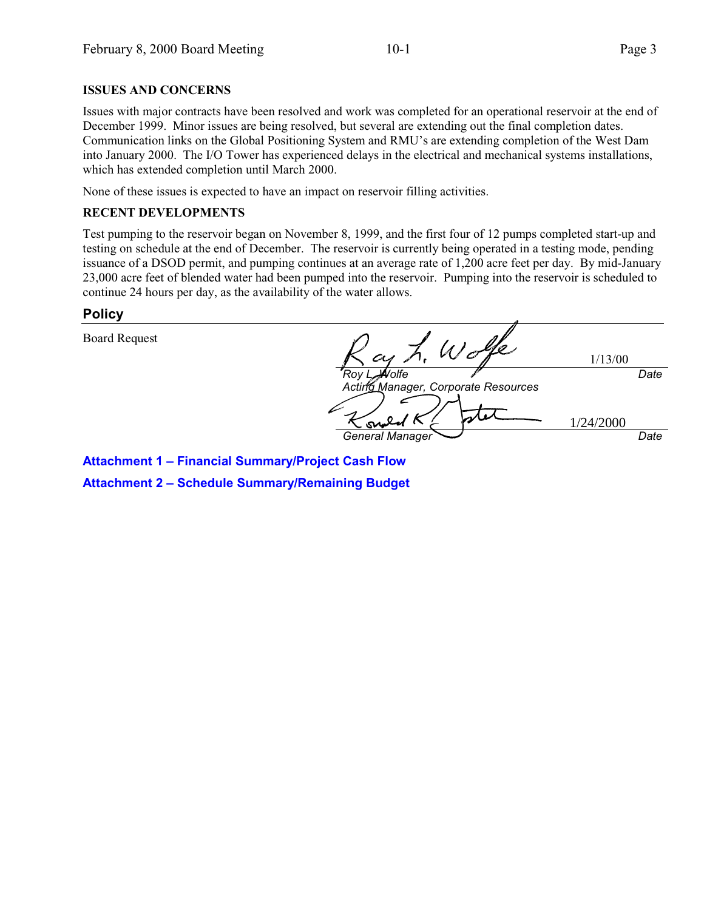#### **ISSUES AND CONCERNS**

Issues with major contracts have been resolved and work was completed for an operational reservoir at the end of December 1999. Minor issues are being resolved, but several are extending out the final completion dates. Communication links on the Global Positioning System and RMU's are extending completion of the West Dam into January 2000. The I/O Tower has experienced delays in the electrical and mechanical systems installations, which has extended completion until March 2000.

None of these issues is expected to have an impact on reservoir filling activities.

#### **RECENT DEVELOPMENTS**

Test pumping to the reservoir began on November 8, 1999, and the first four of 12 pumps completed start-up and testing on schedule at the end of December. The reservoir is currently being operated in a testing mode, pending issuance of a DSOD permit, and pumping continues at an average rate of 1,200 acre feet per day. By mid-January 23,000 acre feet of blended water had been pumped into the reservoir. Pumping into the reservoir is scheduled to continue 24 hours per day, as the availability of the water allows.

#### **Policy**

Board Request

 $W$ o 1/13/00 **Date** Roy L. Wolfe Acting Manager, Corporate Resources 1/24/2000General Manager Date

**Attachment 1 – Financial Summary/Project Cash Flow Attachment 2 – Schedule Summary/Remaining Budget**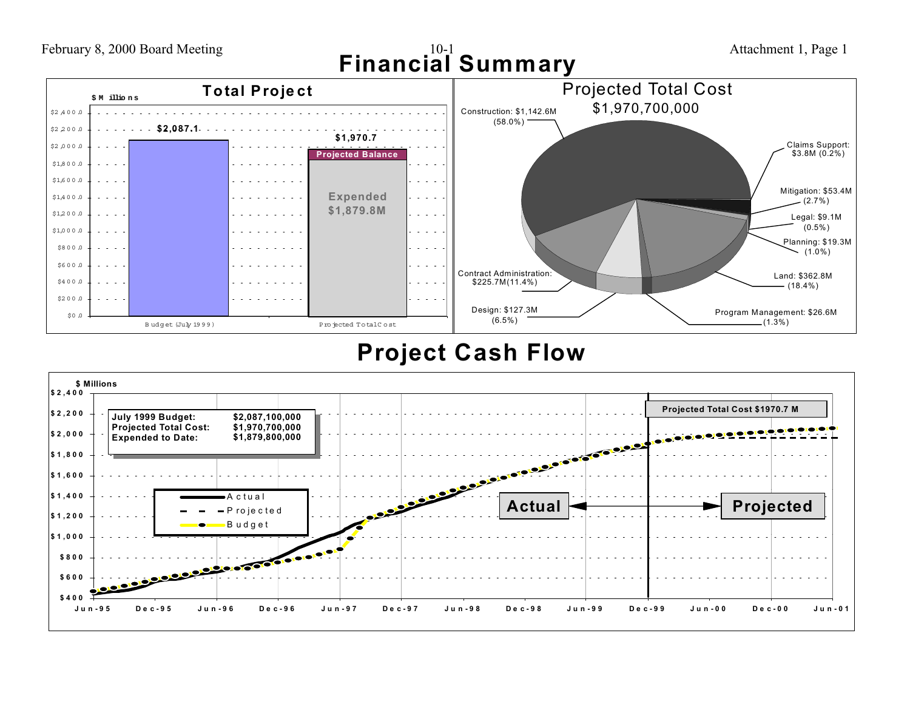February 8, 2000 Board Meeting 10-1 10-1 10-1 Attachment 1, Page 1 **Financial Summary**



## **Project Cash Flow**